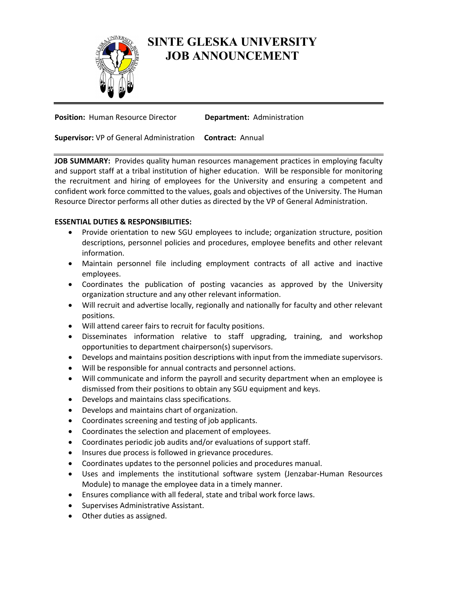

## **SINTE GLESKA UNIVERSITY JOB ANNOUNCEMENT**

**Position: Human Resource Director <b>Department:** Administration

**Supervisor:** VP of General Administration **Contract:** Annual

**JOB SUMMARY:** Provides quality human resources management practices in employing faculty and support staff at a tribal institution of higher education. Will be responsible for monitoring the recruitment and hiring of employees for the University and ensuring a competent and confident work force committed to the values, goals and objectives of the University. The Human Resource Director performs all other duties as directed by the VP of General Administration.

## **ESSENTIAL DUTIES & RESPONSIBILITIES:**

- Provide orientation to new SGU employees to include; organization structure, position descriptions, personnel policies and procedures, employee benefits and other relevant information.
- Maintain personnel file including employment contracts of all active and inactive employees.
- Coordinates the publication of posting vacancies as approved by the University organization structure and any other relevant information.
- Will recruit and advertise locally, regionally and nationally for faculty and other relevant positions.
- Will attend career fairs to recruit for faculty positions.
- Disseminates information relative to staff upgrading, training, and workshop opportunities to department chairperson(s) supervisors.
- Develops and maintains position descriptions with input from the immediate supervisors.
- Will be responsible for annual contracts and personnel actions.
- Will communicate and inform the payroll and security department when an employee is dismissed from their positions to obtain any SGU equipment and keys.
- Develops and maintains class specifications.
- Develops and maintains chart of organization.
- Coordinates screening and testing of job applicants.
- Coordinates the selection and placement of employees.
- Coordinates periodic job audits and/or evaluations of support staff.
- Insures due process is followed in grievance procedures.
- Coordinates updates to the personnel policies and procedures manual.
- Uses and implements the institutional software system (Jenzabar-Human Resources Module) to manage the employee data in a timely manner.
- Ensures compliance with all federal, state and tribal work force laws.
- Supervises Administrative Assistant.
- Other duties as assigned.